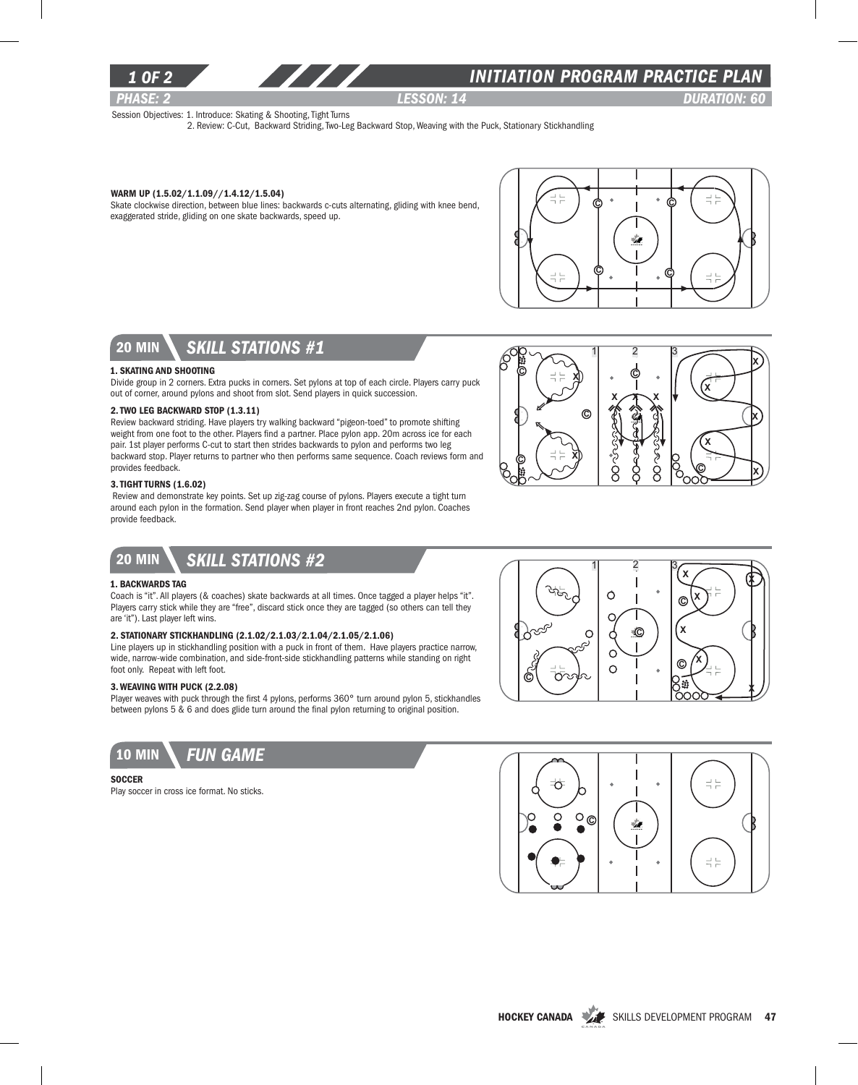

### *1 of 2 INITIATION program PRACTICE PLAN*

*PHASE: 2 Lesson: 14 DURATION: 60* 

୧ / |x

X

X

X

X

Session Objectives: 1. Introduce: Skating & Shooting, Tight Turns

2. Review: C-Cut, Backward Striding, Two-Leg Backward Stop, Weaving with the Puck, Stationary Stickhandling

#### Warm Up (1.5.02/1.1.09//1.4.12/1.5.04)

Skate clockwise direction, between blue lines: backwards c-cuts alternating, gliding with knee bend, exaggerated stride, gliding on one skate backwards, speed up.



 $x \nearrow x$ C  $1 \quad 2 \quad 3$ 

> ∘Ş z<br>S Ş

8

Ŝ

8

 $\circ$  (  $\Rightarrow$  x

ര

b ( ∺⊨ x



#### 1. Skating and Shooting

Divide group in 2 corners. Extra pucks in corners. Set pylons at top of each circle. Players carry puck out of corner, around pylons and shoot from slot. Send players in quick succession.

#### 2. Two Leg Backward Stop (1.3.11)

Review backward striding. Have players try walking backward "pigeon-toed" to promote shifting weight from one foot to the other. Players find a partner. Place pylon app. 20m across ice for each pair. 1st player performs C-cut to start then strides backwards to pylon and performs two leg backward stop. Player returns to partner who then performs same sequence. Coach reviews form and provides feedback.

### 3. Tight Turns (1.6.02)

 Review and demonstrate key points. Set up zig-zag course of pylons. Players execute a tight turn around each pylon in the formation. Send player when player in front reaches 2nd pylon. Coaches provide feedback.

## 20 min *skill stations #2*

#### 1. Backwards Tag

Coach is "it". All players (& coaches) skate backwards at all times. Once tagged a player helps "it". Players carry stick while they are "free", discard stick once they are tagged (so others can tell they are 'it"). Last player left wins.

#### 2. Stationary Stickhandling (2.1.02/2.1.03/2.1.04/2.1.05/2.1.06)

Line players up in stickhandling position with a puck in front of them. Have players practice narrow, wide, narrow-wide combination, and side-front-side stickhandling patterns while standing on right foot only. Repeat with left foot.

### 3. Weaving with puck (2.2.08)

Player weaves with puck through the first 4 pylons, performs 360° turn around pylon 5, stickhandles between pylons 5 & 6 and does glide turn around the final pylon returning to original position.



#### **SOCCER**

Play soccer in cross ice format. No sticks.